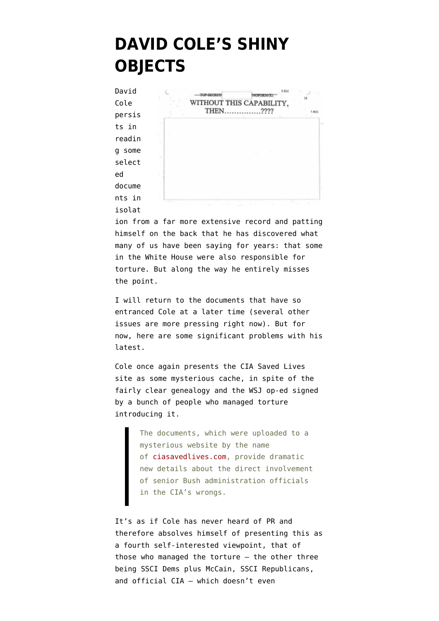## **[DAVID COLE'S SHINY](https://www.emptywheel.net/2015/03/06/david-coles-shiny-objects/) [OBJECTS](https://www.emptywheel.net/2015/03/06/david-coles-shiny-objects/)**

David Cole [persis](http://www.nybooks.com/blogs/nyrblog/2015/mar/05/cia-torture-no-one-said-no/) [ts](http://www.nybooks.com/blogs/nyrblog/2015/mar/05/cia-torture-no-one-said-no/) in readin g some select ed docume nts in

isolat



ion from a far more extensive record and patting himself on the back that he has discovered what many of us have been saying for years: that some in the White House were also responsible for torture. But along the way he entirely misses the point.

I will return to the documents that have so entranced Cole at a later time (several other issues are more pressing right now). But for now, here are some significant problems with his latest.

Cole once again presents the CIA Saved Lives site as some mysterious cache, in spite of the fairly clear genealogy and the [WSJ op-ed signed](http://www.wsj.com/articles/cia-interrogations-saved-lives-1418142644) [by a bunch of people who managed torture](http://www.wsj.com/articles/cia-interrogations-saved-lives-1418142644) [introducing it](http://www.wsj.com/articles/cia-interrogations-saved-lives-1418142644).

> The documents, which were uploaded to a mysterious website by the name of [ciasavedlives.com](http://ciasavedlives.com/authorized.html), provide dramatic new details about the direct involvement of senior Bush administration officials in the CIA's wrongs.

It's as if Cole has never heard of PR and therefore absolves himself of presenting this as a fourth self-interested viewpoint, that of those who managed the torture — the other three being SSCI Dems plus McCain, SSCI Republicans, and official CIA — which doesn't even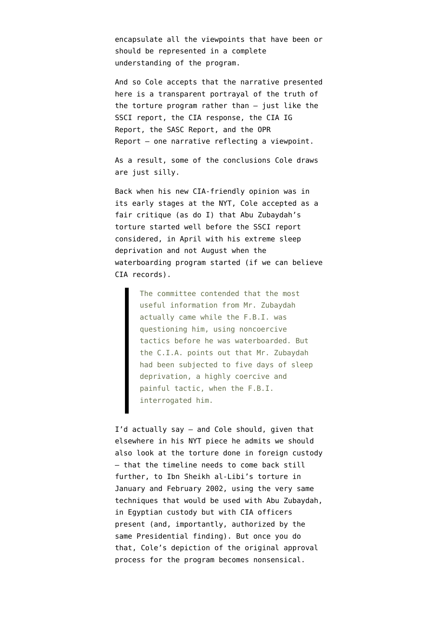encapsulate all the viewpoints that have been or should be represented in a complete understanding of the program.

And so Cole accepts that the narrative presented here is a transparent portrayal of the truth of the torture program rather than — just like the SSCI report, the CIA response, the CIA IG Report, the SASC Report, and the OPR Report — one narrative reflecting a viewpoint.

As a result, some of the conclusions Cole draws are just silly.

Back when his new [CIA-friendly opinion was in](http://www.nytimes.com/2015/02/22/opinion/sunday/did-the-torture-report-give-the-cia-a-bum-rap.html?rref=opinion&module=Ribbon&version=context®ion=Header&action=click&contentCollection=Opinion&pgtype=article&_r=0) [its early stages at the NYT](http://www.nytimes.com/2015/02/22/opinion/sunday/did-the-torture-report-give-the-cia-a-bum-rap.html?rref=opinion&module=Ribbon&version=context®ion=Header&action=click&contentCollection=Opinion&pgtype=article&_r=0), Cole accepted as a fair critique (as do I) that Abu Zubaydah's torture started well before the SSCI report considered, in April with his extreme sleep deprivation and not August when the waterboarding program started (if we can believe CIA records).

> The committee contended that the most useful information from Mr. Zubaydah actually came while the F.B.I. was questioning him, using noncoercive tactics before he was waterboarded. But the C.I.A. points out that Mr. Zubaydah had been subjected to five days of sleep deprivation, a highly coercive and painful tactic, when the F.B.I. interrogated him.

I'd actually say — and Cole should, given that elsewhere in his NYT piece he admits we should also look at the torture done in foreign custody — that the timeline needs to come back still further, to Ibn Sheikh al-Libi's torture in January and February 2002, using the very same techniques that would be used with Abu Zubaydah, in Egyptian custody but with CIA officers present (and, importantly, authorized by the same Presidential finding). But once you do that, Cole's depiction of the original approval process for the program becomes nonsensical.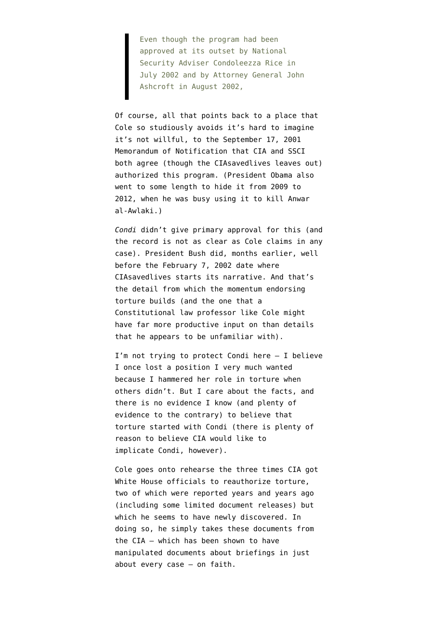Even though the program had been approved at its outset by National Security Adviser Condoleezza Rice in July 2002 and by Attorney General John Ashcroft in August 2002,

Of course, all that points back to a place that Cole so studiously avoids it's hard to imagine it's not willful, to the September 17, 2001 Memorandum of Notification that CIA and SSCI both agree (though the CIAsavedlives leaves out) authorized this program. (President Obama also went to some length to hide it from 2009 to 2012, when he was busy using it to kill Anwar al-Awlaki.)

*Condi* didn't give primary approval for this (and the record is not as clear as Cole claims in any case). President Bush did, months earlier, well before the February 7, 2002 date where CIAsavedlives starts its narrative. And that's the detail from which the momentum endorsing torture builds (and the one that a Constitutional law professor like Cole might have far more productive input on than details that he appears to be unfamiliar with).

I'm not trying to protect Condi here — I believe I once lost a position I very much wanted because I hammered her role in torture when others didn't. But I care about the facts, and there is no evidence I know (and plenty of evidence to the contrary) to believe that torture started with Condi (there is plenty of reason to believe CIA would like to implicate Condi, however).

Cole goes onto rehearse the three times CIA got White House officials to reauthorize torture, two of which were reported years and years ago (including some limited document releases) but which he seems to have newly discovered. In doing so, he simply takes these documents from the CIA — which has been shown to have manipulated documents about briefings in just about every case — on faith.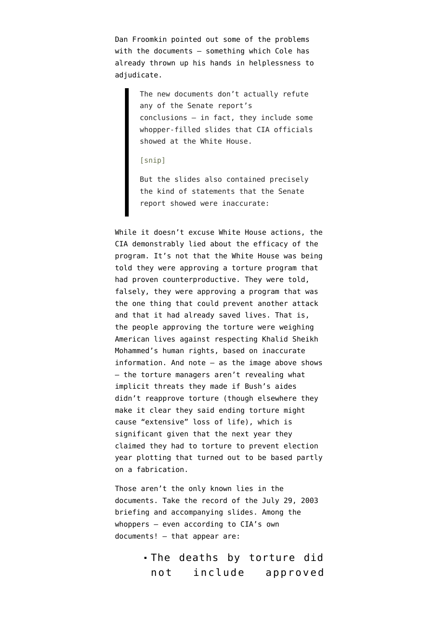Dan Froomkin [pointed out](https://firstlook.org/theintercept/2015/03/02/bush-white-houses-repeated-torture-denials-led-cia-torturers-seek-repeated-reassurance/) some of the problems with the documents — something which Cole has already thrown up his hands in helplessness to adjudicate.

> The new documents don't actually refute any of the Senate report's conclusions — in fact, they include some whopper-filled slides that CIA officials showed at the White House.

[snip]

But the slides also contained precisely the kind of statements that the Senate report showed were inaccurate:

While it doesn't excuse White House actions, the CIA demonstrably lied about the efficacy of the program. It's not that the White House was being told they were approving a torture program that had proven counterproductive. They were told, falsely, they were approving a program that was the one thing that could prevent another attack and that it had already saved lives. That is, the people approving the torture were weighing American lives against respecting Khalid Sheikh Mohammed's human rights, based on inaccurate information. And note — as the image above shows — the torture managers aren't revealing what implicit threats they made if Bush's aides didn't reapprove torture (though elsewhere they make it clear they said ending torture might cause "extensive" loss of life), which is significant given that the next year they claimed they had to torture to prevent election year plotting that turned out to be based partly on a fabrication.

Those aren't the only known lies in the documents. Take the record of the [July 29, 2003](http://justsecurity.org/wp-content/uploads/2015/03/Exhibit-G-Bush-Policy-and-Legal-Directives-on-Interrogation.pdf) [briefing](http://justsecurity.org/wp-content/uploads/2015/03/Exhibit-G-Bush-Policy-and-Legal-Directives-on-Interrogation.pdf) and [accompanying slides.](http://ciasavedlives.com/bdr/exhibitH.pdf#page=4) Among the whoppers — even according to CIA's own documents! — that appear are:

> The deaths by torture did not include approved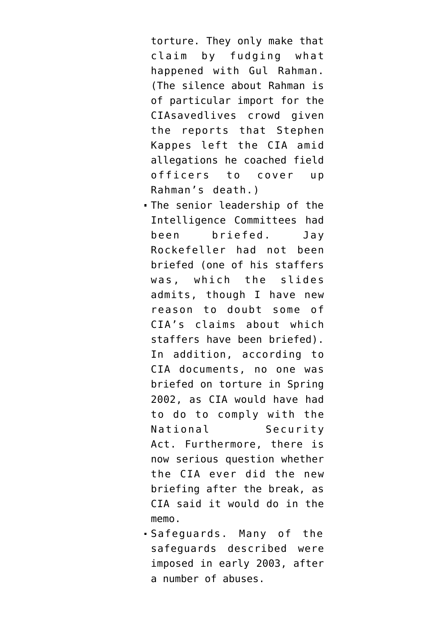torture. They only make that claim by fudging what happened with Gul Rahman. (The silence about Rahman is of particular import for the CIAsavedlives crowd given the reports that Stephen Kappes left the CIA amid [allegations](https://www.emptywheel.net/2011/07/01/wither-stephen-kappes/) he coached field officers to cover up Rahman's death.)

- The senior leadership of the Intelligence Committees had been briefed. Jay Rockefeller had not been briefed (one of his staffers was, [which the slides](http://ciasavedlives.com/bdr/exhibitH.pdf#page=4) [admits](http://ciasavedlives.com/bdr/exhibitH.pdf#page=4), though I have new reason to doubt some of CIA's claims about which staffers have been briefed). In addition, according to CIA documents, no one was briefed on torture in Spring 2002, as CIA would have had to do to comply with the National Security Act. Furthermore, there is now serious question whether the CIA ever did the new briefing after the break, as CIA said it would do in the memo.
- Safeguards. Many of the safeguards described were imposed in early 2003, after a number of abuses.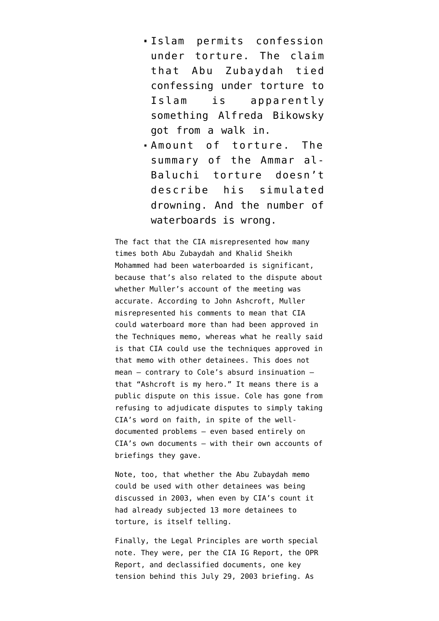- Islam permits confession under torture. The claim that Abu Zubaydah tied confessing under torture to Islam is apparently something [Alfreda Bikowsky](https://www.emptywheel.net/2014/12/14/why-did-alfreda-bikowsky-invent-a-story-about-al-qaeda-trash-talking-us/) [got from a walk in.](https://www.emptywheel.net/2014/12/14/why-did-alfreda-bikowsky-invent-a-story-about-al-qaeda-trash-talking-us/)
- Amount of torture. The summary of the Ammar al-Baluchi torture doesn't describe his simulated drowning. And the number of waterboards is wrong.

The fact that the CIA misrepresented how many times both Abu Zubaydah and Khalid Sheikh Mohammed had been waterboarded is significant, because that's also related to the dispute about whether Muller's account of the meeting was accurate. [According to John Ashcroft](https://www.aclu.org/sites/default/files/torturefoia/released/082409/olcremand/06182004memo_from_olc_to_cia_re_oigspecialreview.pdf), Muller misrepresented his comments to mean that CIA could waterboard more than had been approved in the Techniques memo, whereas what he really said is that CIA could use the techniques approved in that memo with other detainees. This does not mean — contrary to [Cole's absurd insinuation](https://twitter.com/DavidColeGtown/status/573681493714731008) that "Ashcroft is my hero." It means there is a public dispute on this issue. Cole has gone from refusing to adjudicate disputes to simply taking CIA's word on faith, in spite of the welldocumented problems — even based entirely on CIA's own documents — with their own accounts of briefings they gave.

Note, too, that whether the Abu Zubaydah memo could be used with other detainees was being discussed in 2003, when even by CIA's count it had already subjected 13 more detainees to torture, is itself telling.

Finally, the Legal Principles are worth special note. They were, per the CIA IG Report, the OPR Report, and declassified documents, one key tension behind this July 29, 2003 briefing. As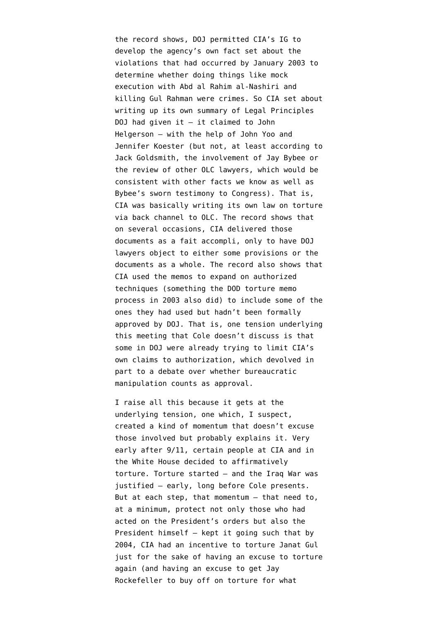the record shows, DOJ permitted CIA's IG to develop the agency's own fact set about the violations that had occurred by January 2003 to determine whether doing things like mock execution with Abd al Rahim al-Nashiri and killing Gul Rahman were crimes. So CIA set about writing up its own summary of Legal Principles DOJ had given it — it claimed to John Helgerson — with the help of John Yoo and Jennifer Koester (but not, at least according to Jack Goldsmith, the involvement of Jay Bybee or the review of other OLC lawyers, which would be consistent with other facts we know as well as Bybee's sworn testimony to Congress). That is, CIA was basically writing its own law on torture via back channel to OLC. The record shows that on several occasions, CIA delivered those documents as a fait accompli, only to have DOJ lawyers [object to either some provisions or the](https://www.emptywheel.net/2009/09/04/the-legal-principles-timeline/) [documents](https://www.emptywheel.net/2009/09/04/the-legal-principles-timeline/) as a whole. The record also shows that CIA used the memos to expand on authorized techniques (something the DOD torture memo process in 2003 also did) to include some of the ones they had used but hadn't been formally approved by DOJ. That is, one tension underlying this meeting that Cole doesn't discuss is that some in DOJ were already trying to limit CIA's own claims to authorization, which devolved in part to a debate over whether bureaucratic manipulation counts as approval.

I raise all this because it gets at the underlying tension, one which, I suspect, created a kind of momentum that doesn't excuse those involved but probably explains it. Very early after 9/11, certain people at CIA and in the White House decided to affirmatively torture. Torture started — and the Iraq War was justified — early, long before Cole presents. But at each step, that momentum — that need to, at a minimum, protect not only those who had acted on the President's orders but also the President himself — kept it going such that by 2004, CIA had an incentive to torture Janat Gul just for the sake of having an excuse to torture again (and having [an excuse to get Jay](https://www.emptywheel.net/2014/12/22/did-jello-jay-rockefeller-endorse-torture-based-on-a-fabrication/) [Rockefeller to buy off on torture](https://www.emptywheel.net/2014/12/22/did-jello-jay-rockefeller-endorse-torture-based-on-a-fabrication/) for what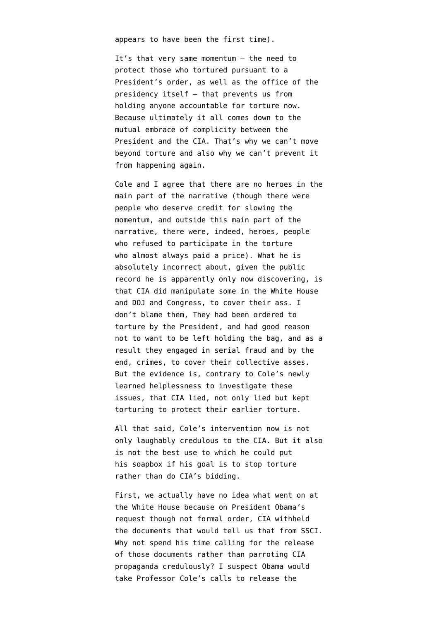appears to have been the first time).

It's that very same momentum — the need to protect those who tortured pursuant to a President's order, as well as the office of the presidency itself — that prevents us from holding anyone accountable for torture now. Because ultimately it all comes down to the [mutual embrace of complicity](https://www.emptywheel.net/2013/10/18/cia-and-the-president-the-warm-embrace-of-mutual-incrimination/) between the President and the CIA. That's why we can't move beyond torture and also why we can't prevent it from happening again.

Cole and I agree that there are no heroes in the main part of the narrative (though there were people who deserve credit for slowing the momentum, and outside this main part of the narrative, there were, indeed, heroes, people who refused to participate in the torture who almost always paid a price). What he is absolutely incorrect about, given the public record he is apparently only now discovering, is that CIA did manipulate some in the White House and DOJ and Congress, to cover their ass. I don't blame them, They had been ordered to torture by the President, and had good reason not to want to be left holding the bag, and as a result they engaged in serial fraud and by the end, crimes, to cover their collective asses. But the evidence is, contrary to Cole's newly learned helplessness to investigate these issues, that CIA lied, not only lied but kept torturing to protect their earlier torture.

All that said, Cole's intervention now is not only laughably credulous to the CIA. But it also is not the best use to which he could put his soapbox if his goal is to stop torture rather than do CIA's bidding.

First, we actually have no idea what went on at the White House because on President Obama's request though not formal order, CIA withheld the documents that would tell us that from SSCI. Why not spend his time calling for the release of those documents rather than parroting CIA propaganda credulously? I suspect Obama would take Professor Cole's calls to release the